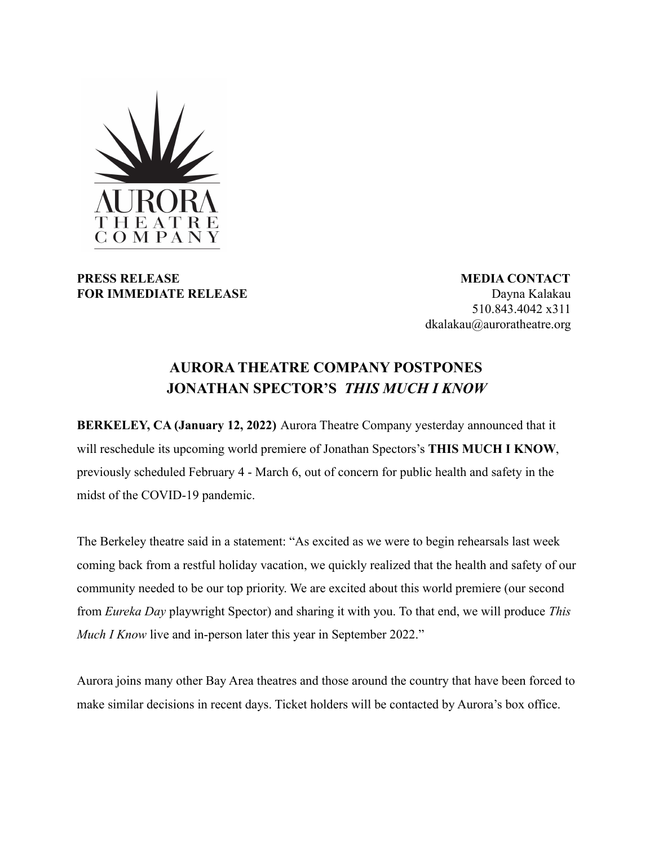

**PRESS RELEASE FOR IMMEDIATE RELEASE**

**MEDIA CONTACT** Dayna Kalakau 510.843.4042 x311 dkalakau@auroratheatre.org

## **AURORA THEATRE COMPANY POSTPONES JONATHAN SPECTOR'S** *THIS MUCH I KNOW*

**BERKELEY, CA (January 12, 2022)** Aurora Theatre Company yesterday announced that it will reschedule its upcoming world premiere of Jonathan Spectors's **THIS MUCH I KNOW**, previously scheduled February 4 - March 6, out of concern for public health and safety in the midst of the COVID-19 pandemic.

The Berkeley theatre said in a statement: "As excited as we were to begin rehearsals last week coming back from a restful holiday vacation, we quickly realized that the health and safety of our community needed to be our top priority. We are excited about this world premiere (our second from *Eureka Day* playwright Spector) and sharing it with you. To that end, we will produce *This Much I Know* live and in-person later this year in September 2022."

Aurora joins many other Bay Area theatres and those around the country that have been forced to make similar decisions in recent days. Ticket holders will be contacted by Aurora's box office.